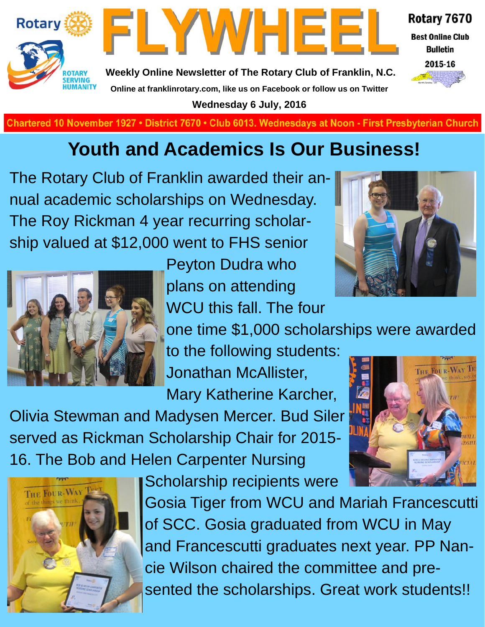



**Weekly Online Newsletter of The Rotary Club of Franklin, N.C. Online at franklinrotary.com, like us on Facebook or follow us on Twitter Wednesday 6 July, 2016**

Rotary 7670 **Best Online Club Bulletin** 



THE FOUR-WAY TH

**Charted November 29, 1927 • District 7670 • Club 6013 Wednesdays at Noon - First Presbyterian Church**

## **Youth and Academics Is Our Business!**

The Rotary Club of Franklin awarded their annual academic scholarships on Wednesday. The Roy Rickman 4 year recurring scholarship valued at \$12,000 went to FHS senior



Peyton Dudra who plans on attending WCU this fall. The four



one time \$1,000 scholarships were awarded

to the following students: Jonathan McAllister,

Mary Katherine Karcher,

Olivia Stewman and Madysen Mercer. Bud Siler served as Rickman Scholarship Chair for 2015- 16. The Bob and Helen Carpenter Nursing





Gosia Tiger from WCU and Mariah Francescutti of SCC. Gosia graduated from WCU in May and Francescutti graduates next year. PP Nancie Wilson chaired the committee and presented the scholarships. Great work students!!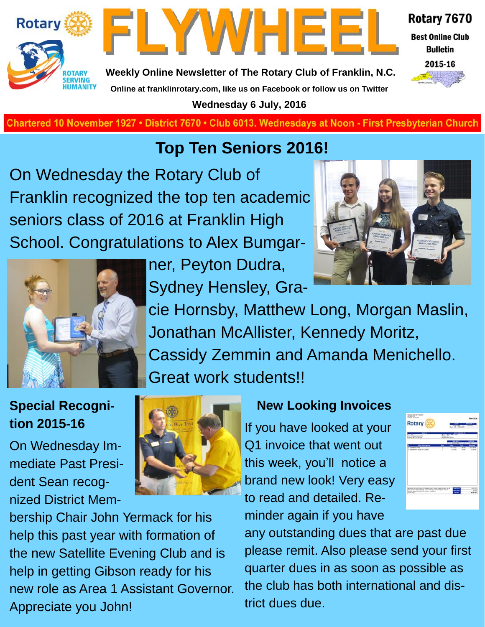



Rotary 7670

**Best Online Club Bulletin** 



**Weekly Online Newsletter of The Rotary Club of Franklin, N.C. Online at franklinrotary.com, like us on Facebook or follow us on Twitter**

**Wednesday 6 July, 2016**

**Chartered 10 November 1927 • District 7670 • Club 6013. Wednesdays at Noon - First Presbyterian Church** 

### **Top Ten Seniors 2016!**

On Wednesday the Rotary Club of Franklin recognized the top ten academic seniors class of 2016 at Franklin High School. Congratulations to Alex Bumgar-



ner, Peyton Dudra, Sydney Hensley, Gra-



cie Hornsby, Matthew Long, Morgan Maslin, Jonathan McAllister, Kennedy Moritz, Cassidy Zemmin and Amanda Menichello. Great work students!!

#### **Special Recognition 2015-16**

On Wednesday Immediate Past President Sean recognized District Mem-



bership Chair John Yermack for his help this past year with formation of the new Satellite Evening Club and is help in getting Gibson ready for his new role as Area 1 Assistant Governor. Appreciate you John!

#### **New Looking Invoices**

If you have looked at your Q1 invoice that went out this week, you'll notice a brand new look! Very easy to read and detailed. Reminder again if you have



any outstanding dues that are past due please remit. Also please send your first quarter dues in as soon as possible as the club has both international and district dues due.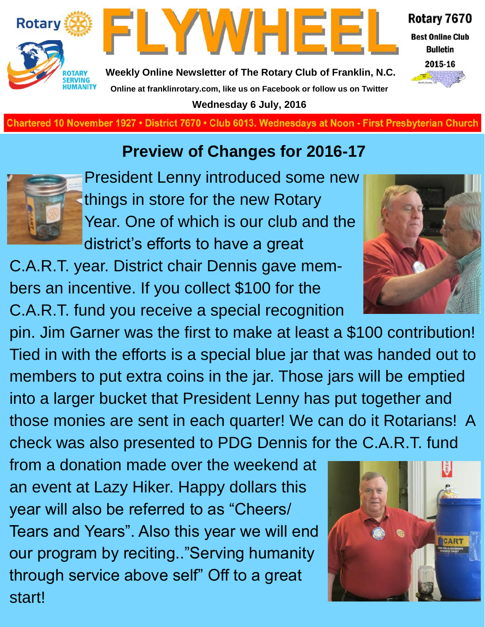



Rotary 7670

**Best Online Club Bulletin** 



**Weekly Online Newsletter of The Rotary Club of Franklin, N.C. Online at franklinrotary.com, like us on Facebook or follow us on Twitter Wednesday 6 July, 2016**

**Charted November 29, 1927 • District 7670 • Club 6013 Wednesdays at Noon - First Presbyterian Church**

## **Preview of Changes for 2016-17**



President Lenny introduced some new things in store for the new Rotary Year. One of which is our club and the district's efforts to have a great

C.A.R.T. year. District chair Dennis gave members an incentive. If you collect \$100 for the C.A.R.T. fund you receive a special recognition

pin. Jim Garner was the first to make at least a \$100 contribution! Tied in with the efforts is a special blue jar that was handed out to members to put extra coins in the jar. Those jars will be emptied into a larger bucket that President Lenny has put together and those monies are sent in each quarter! We can do it Rotarians! A check was also presented to PDG Dennis for the C.A.R.T. fund

from a donation made over the weekend at an event at Lazy Hiker. Happy dollars this year will also be referred to as "Cheers/ Tears and Years". Also this year we will end our program by reciting.."Serving humanity through service above self" Off to a great start!



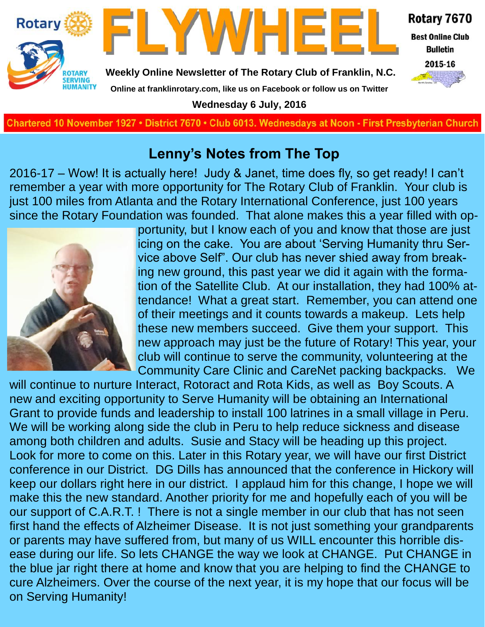

#### **Lenny's Notes from The Top**

2016-17 – Wow! It is actually here! Judy & Janet, time does fly, so get ready! I can't remember a year with more opportunity for The Rotary Club of Franklin. Your club is just 100 miles from Atlanta and the Rotary International Conference, just 100 years since the Rotary Foundation was founded. That alone makes this a year filled with op-



portunity, but I know each of you and know that those are just icing on the cake. You are about 'Serving Humanity thru Service above Self". Our club has never shied away from breaking new ground, this past year we did it again with the formation of the Satellite Club. At our installation, they had 100% attendance! What a great start. Remember, you can attend one of their meetings and it counts towards a makeup. Lets help these new members succeed. Give them your support. This new approach may just be the future of Rotary! This year, your club will continue to serve the community, volunteering at the Community Care Clinic and CareNet packing backpacks. We

will continue to nurture Interact, Rotoract and Rota Kids, as well as Boy Scouts. A new and exciting opportunity to Serve Humanity will be obtaining an International Grant to provide funds and leadership to install 100 latrines in a small village in Peru. We will be working along side the club in Peru to help reduce sickness and disease among both children and adults. Susie and Stacy will be heading up this project. Look for more to come on this. Later in this Rotary year, we will have our first District conference in our District. DG Dills has announced that the conference in Hickory will keep our dollars right here in our district. I applaud him for this change, I hope we will make this the new standard. Another priority for me and hopefully each of you will be our support of C.A.R.T. ! There is not a single member in our club that has not seen first hand the effects of Alzheimer Disease. It is not just something your grandparents or parents may have suffered from, but many of us WILL encounter this horrible disease during our life. So lets CHANGE the way we look at CHANGE. Put CHANGE in the blue jar right there at home and know that you are helping to find the CHANGE to cure Alzheimers. Over the course of the next year, it is my hope that our focus will be on Serving Humanity!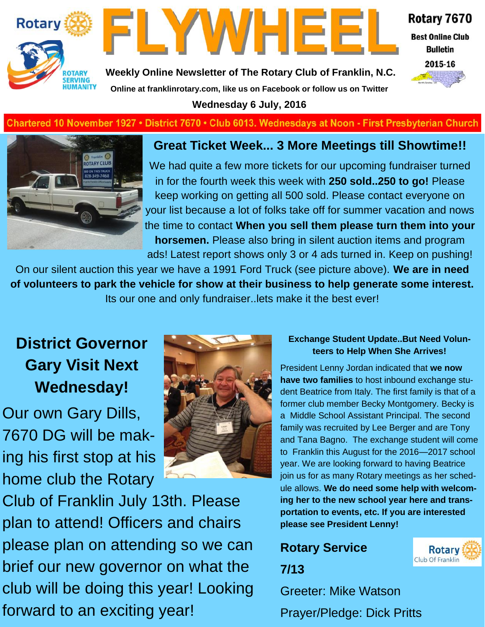



Rotary 7670

**Best Online Club Bulletin** 

2015-16

**Weekly Online Newsletter of The Rotary Club of Franklin, N.C.**

**Online at franklinrotary.com, like us on Facebook or follow us on Twitter**

**Wednesday 6 July, 2016**

#### Chartered 10 November 1927 • District 7670 • Club 6013. Wednesdays at Noon - First Presbyterian Church



#### **Great Ticket Week... 3 More Meetings till Showtime!!**

We had quite a few more tickets for our upcoming fundraiser turned in for the fourth week this week with **250 sold..250 to go!** Please keep working on getting all 500 sold. Please contact everyone on your list because a lot of folks take off for summer vacation and nows the time to contact **When you sell them please turn them into your horsemen.** Please also bring in silent auction items and program ads! Latest report shows only 3 or 4 ads turned in. Keep on pushing!

On our silent auction this year we have a 1991 Ford Truck (see picture above). **We are in need of volunteers to park the vehicle for show at their business to help generate some interest.**  Its our one and only fundraiser..lets make it the best ever!

### **District Governor Gary Visit Next Wednesday!**

Our own Gary Dills, 7670 DG will be making his first stop at his home club the Rotary





#### **Exchange Student Update..But Need Volunteers to Help When She Arrives!**

President Lenny Jordan indicated that **we now have two families** to host inbound exchange student Beatrice from Italy. The first family is that of a former club member Becky Montgomery. Becky is a Middle School Assistant Principal. The second family was recruited by Lee Berger and are Tony and Tana Bagno. The exchange student will come to Franklin this August for the 2016—2017 school year. We are looking forward to having Beatrice join us for as many Rotary meetings as her schedule allows. **We do need some help with welcoming her to the new school year here and transportation to events, etc. If you are interested please see President Lenny!** 

## **Rotary Service**



Greeter: Mike Watson Prayer/Pledge: Dick Pritts

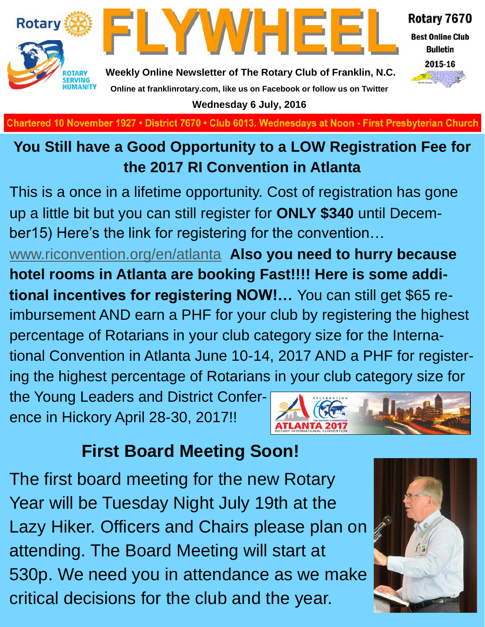

**Wednesday 6 July, 2016**

**Charted November 29, 1927 • District 7670 • Club 6013 Wednesdays at Noon - First Presbyterian Church**

### **You Still have a Good Opportunity to a LOW Registration Fee for the 2017 RI Convention in Atlanta**

This is a once in a lifetime opportunity. Cost of registration has gone up a little bit but you can still register for **ONLY \$340** until December15) Here's the link for registering for the convention…

[www.riconvention.org/en/atlanta](http://www.riconvention.org/en/atlanta) **Also you need to hurry because hotel rooms in Atlanta are booking Fast!!!! Here is some additional incentives for registering NOW!…** You can still get \$65 reimbursement AND earn a PHF for your club by registering the highest percentage of Rotarians in your club category size for the International Convention in Atlanta June 10-14, 2017 AND a PHF for registering the highest percentage of Rotarians in your club category size for

the Young Leaders and District Conference in Hickory April 28-30, 2017!!



## **First Board Meeting Soon!**

The first board meeting for the new Rotary Year will be Tuesday Night July 19th at the Lazy Hiker. Officers and Chairs please plan on attending. The Board Meeting will start at 530p. We need you in attendance as we make critical decisions for the club and the year.